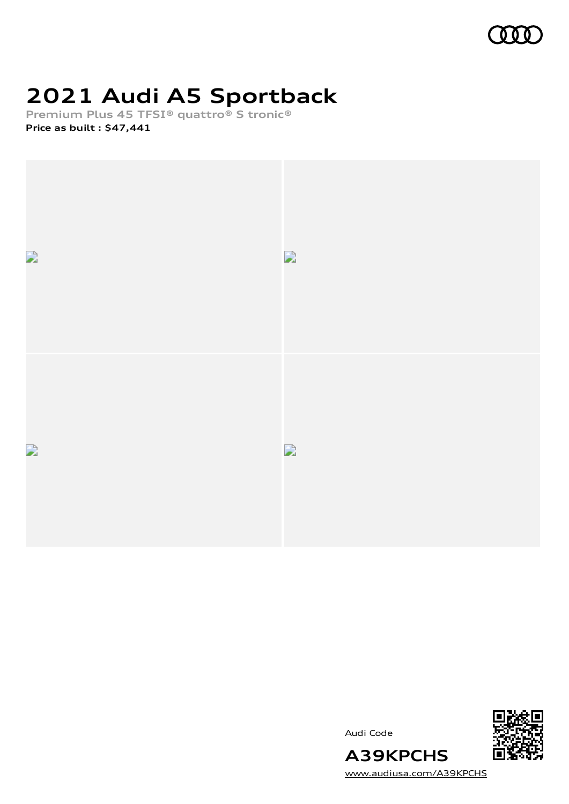

# **2021 Audi A5 Sportback**

**Premium Plus 45 TFSI® quattro® S tronic® Price as built [:](#page-8-0) \$47,441**







[www.audiusa.com/A39KPCHS](https://www.audiusa.com/A39KPCHS)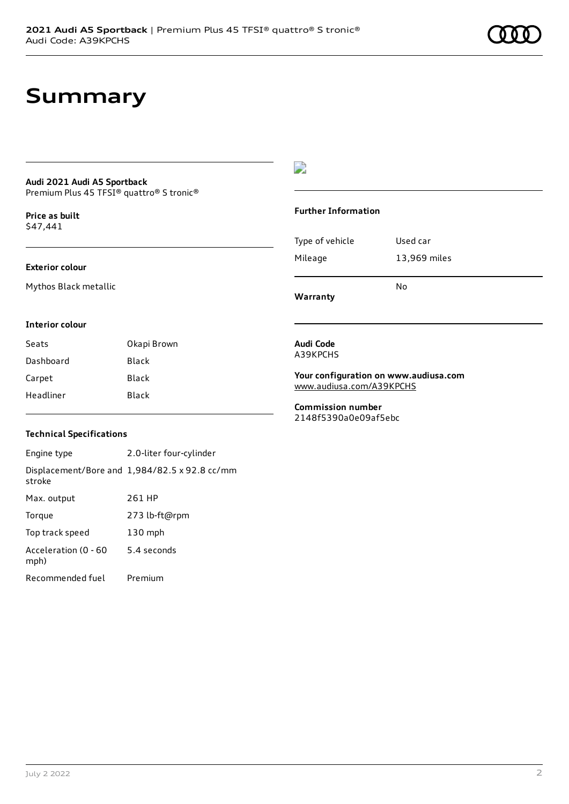## **Summary**

#### **Audi 2021 Audi A5 Sportback** Premium Plus 45 TFSI® quattro® S tronic®

**Price as buil[t](#page-8-0)** \$47,441

#### **Exterior colour**

Mythos Black metallic

### D

#### **Further Information**

|                 | N٥           |
|-----------------|--------------|
| Mileage         | 13,969 miles |
| Type of vehicle | Used car     |

**Warranty**

#### **Interior colour**

| Seats     | Okapi Brown |
|-----------|-------------|
| Dashboard | Black       |
| Carpet    | Black       |
| Headliner | Black       |

#### **Technical Specifications**

Engine type 2.0-liter four-cylinder Displacement/Bore and 1,984/82.5 x 92.8 cc/mm stroke Max. output 261 HP Torque 273 lb-ft@rpm Top track speed 130 mph Acceleration (0 - 60 mph) 5.4 seconds Recommended fuel Premium

#### **Audi Code** A39KPCHS

**Your configuration on www.audiusa.com** [www.audiusa.com/A39KPCHS](https://www.audiusa.com/A39KPCHS)

#### **Commission number** 2148f5390a0e09af5ebc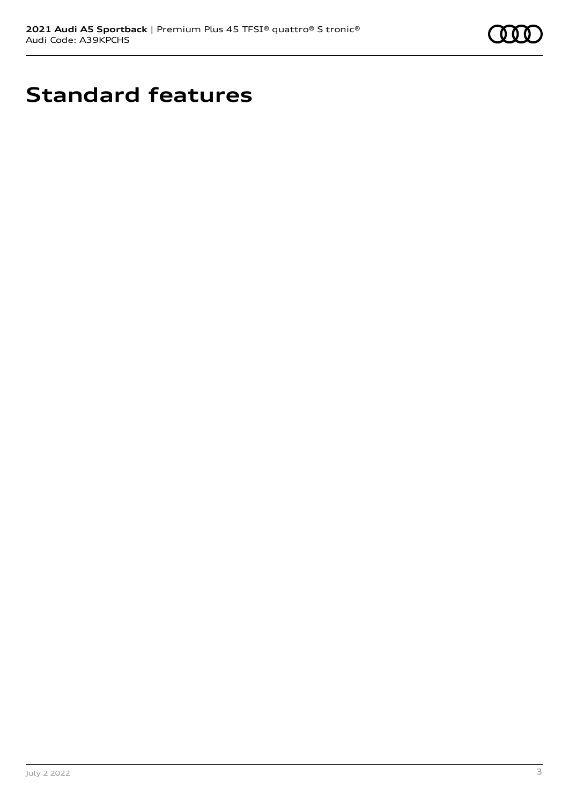

# **Standard features**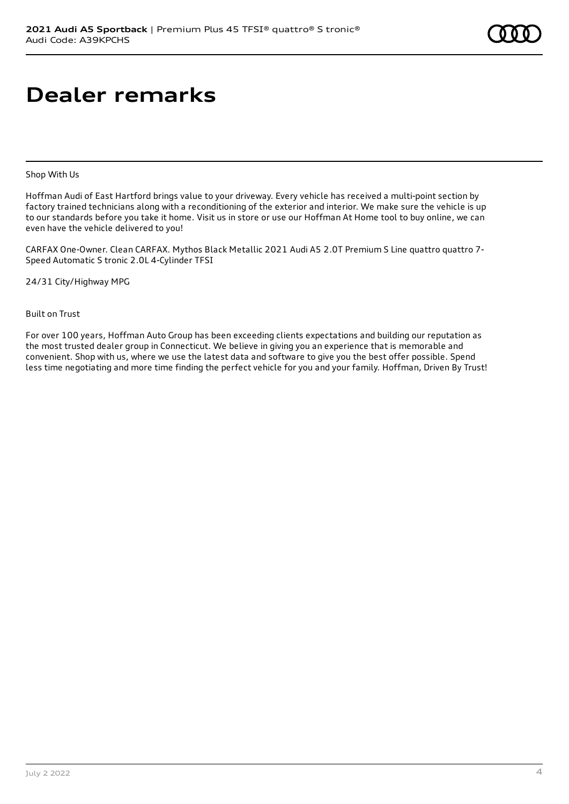# **Dealer remarks**

Shop With Us

Hoffman Audi of East Hartford brings value to your driveway. Every vehicle has received a multi-point section by factory trained technicians along with a reconditioning of the exterior and interior. We make sure the vehicle is up to our standards before you take it home. Visit us in store or use our Hoffman At Home tool to buy online, we can even have the vehicle delivered to you!

CARFAX One-Owner. Clean CARFAX. Mythos Black Metallic 2021 Audi A5 2.0T Premium S Line quattro quattro 7- Speed Automatic S tronic 2.0L 4-Cylinder TFSI

24/31 City/Highway MPG

Built on Trust

For over 100 years, Hoffman Auto Group has been exceeding clients expectations and building our reputation as the most trusted dealer group in Connecticut. We believe in giving you an experience that is memorable and convenient. Shop with us, where we use the latest data and software to give you the best offer possible. Spend less time negotiating and more time finding the perfect vehicle for you and your family. Hoffman, Driven By Trust!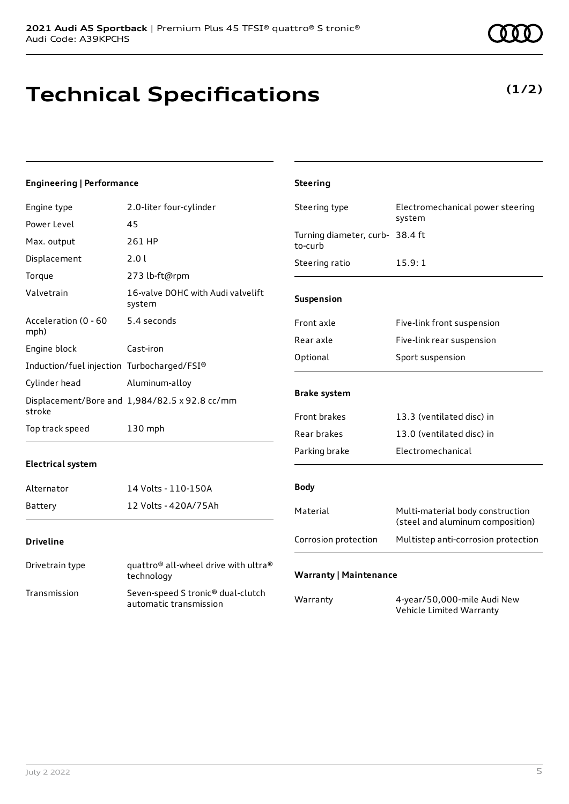# **Technical Specifications**

### **Engineering | Performance**

| Engine type                                | 2.0-liter four-cylinder                                     | Steering type                              | Electromechanical power steering                                     |
|--------------------------------------------|-------------------------------------------------------------|--------------------------------------------|----------------------------------------------------------------------|
| Power Level                                | 45                                                          |                                            | system                                                               |
| Max. output                                | 261 HP                                                      | Turning diameter, curb- 38.4 ft<br>to-curb |                                                                      |
| Displacement                               | 2.0 l                                                       | Steering ratio                             | 15.9:1                                                               |
| Torque                                     | 273 lb-ft@rpm                                               |                                            |                                                                      |
| Valvetrain                                 | 16-valve DOHC with Audi valvelift<br>system                 | Suspension                                 |                                                                      |
| Acceleration (0 - 60<br>mph)               | 5.4 seconds                                                 | Front axle                                 | Five-link front suspension                                           |
| Engine block                               | Cast-iron                                                   | Rear axle                                  | Five-link rear suspension                                            |
|                                            |                                                             | Optional                                   | Sport suspension                                                     |
| Induction/fuel injection Turbocharged/FSI® |                                                             |                                            |                                                                      |
| Cylinder head                              | Aluminum-alloy                                              | <b>Brake system</b>                        |                                                                      |
| stroke                                     | Displacement/Bore and 1,984/82.5 x 92.8 cc/mm               |                                            |                                                                      |
| Top track speed                            | 130 mph                                                     | Front brakes                               | 13.3 (ventilated disc) in                                            |
|                                            |                                                             | Rear brakes                                | 13.0 (ventilated disc) in                                            |
|                                            |                                                             | Parking brake                              | Electromechanical                                                    |
| <b>Electrical system</b>                   |                                                             |                                            |                                                                      |
| Alternator                                 | 14 Volts - 110-150A                                         | <b>Body</b>                                |                                                                      |
| Battery                                    | 12 Volts - 420A/75Ah                                        | Material                                   | Multi-material body construction<br>(steel and aluminum composition) |
| <b>Driveline</b>                           |                                                             | Corrosion protection                       | Multistep anti-corrosion protection                                  |
| Drivetrain type                            | quattro® all-wheel drive with ultra®<br>technology          | <b>Warranty   Maintenance</b>              |                                                                      |
| Transmission                               | Seven-speed S tronic® dual-clutch<br>automatic transmission | Warranty                                   | 4-year/50,000-mile Audi New<br>Vehicle Limited Warranty              |

**Steering**



### **(1/2)**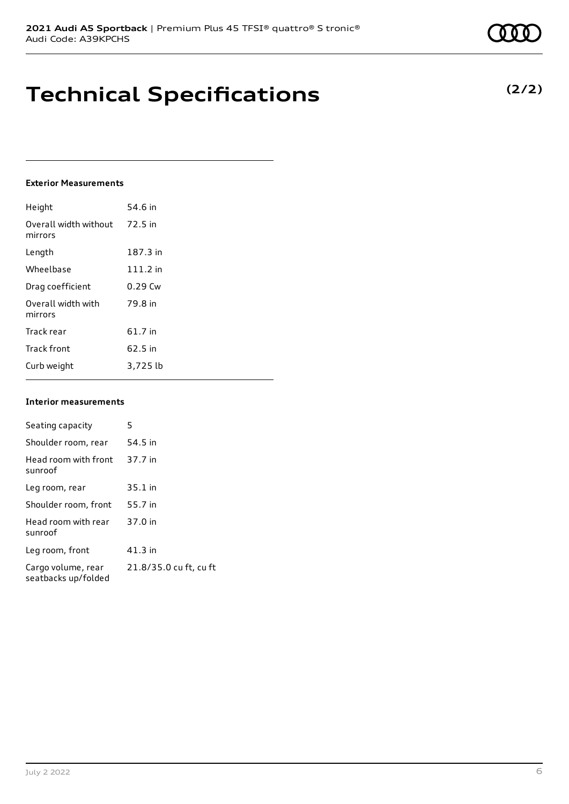## **Technical Specifications**

### **Exterior Measurements**

| Height                           | 54.6 in    |
|----------------------------------|------------|
| Overall width without<br>mirrors | 72.5 in    |
| Length                           | 187.3 in   |
| Wheelbase                        | $111.2$ in |
| Drag coefficient                 | $0.29$ Cw  |
| Overall width with<br>mirrors    | 79.8 in    |
| Track rear                       | 61.7 in    |
| <b>Track front</b>               | 62.5 in    |
| Curb weight                      | 3,725 lb   |

#### **Interior measurements**

| Seating capacity                          | 5                      |
|-------------------------------------------|------------------------|
| Shoulder room, rear                       | 54.5 in                |
| Head room with front<br>sunroof           | 37.7 in                |
| Leg room, rear                            | $35.1$ in              |
| Shoulder room, front                      | 55.7 in                |
| Head room with rear<br>sunroof            | 37.0 in                |
| Leg room, front                           | $41.3$ in              |
| Cargo volume, rear<br>seatbacks up/folded | 21.8/35.0 cu ft, cu ft |

### **(2/2)**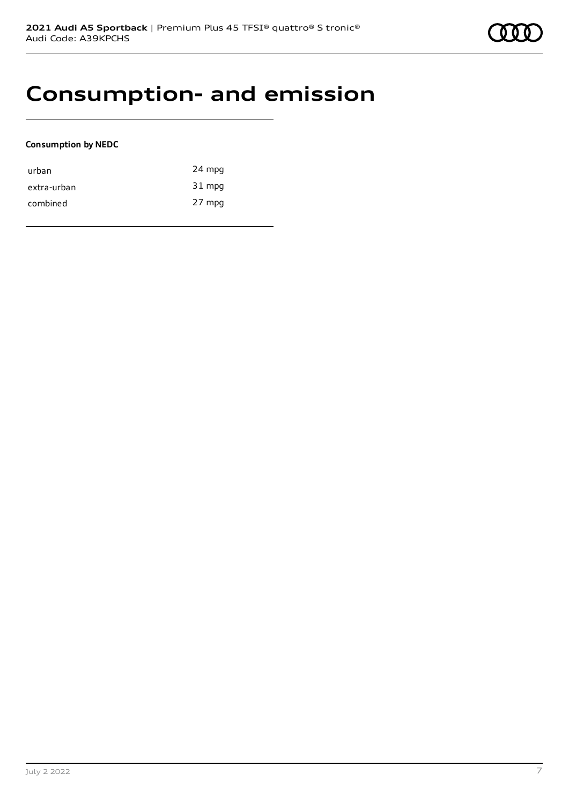### **Consumption- and emission**

#### **Consumption by NEDC**

| urban       | 24 mpg |
|-------------|--------|
| extra-urban | 31 mpg |
| combined    | 27 mpg |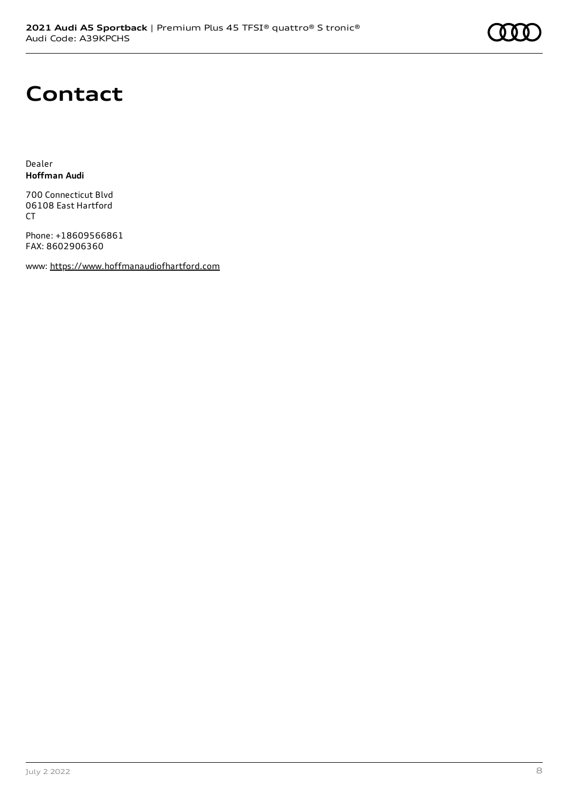# **Contact**

Dealer **Hoffman Audi**

700 Connecticut Blvd 06108 East Hartford CT

Phone: +18609566861 FAX: 8602906360

www: [https://www.hoffmanaudiofhartford.com](https://www.hoffmanaudiofhartford.com/)